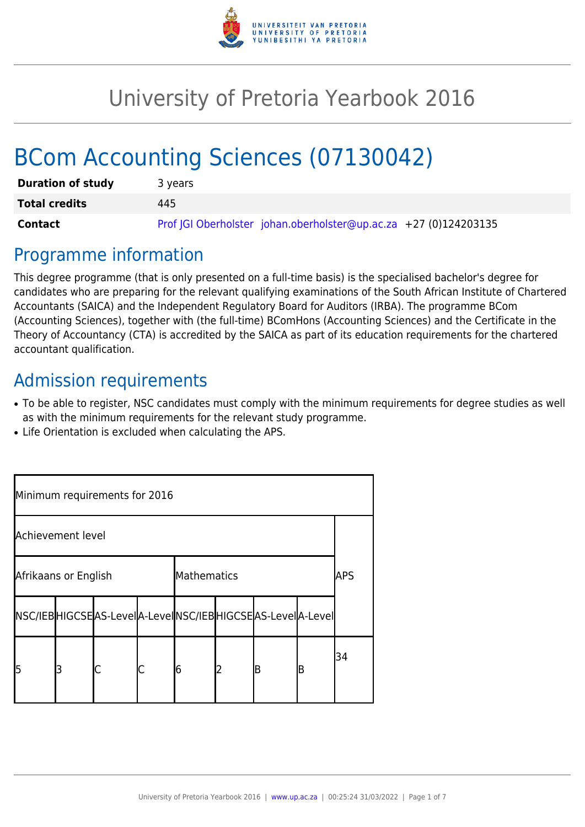

# University of Pretoria Yearbook 2016

# BCom Accounting Sciences (07130042)

| <b>Duration of study</b> | 3 years                                                          |  |  |  |  |  |
|--------------------------|------------------------------------------------------------------|--|--|--|--|--|
| <b>Total credits</b>     | 445                                                              |  |  |  |  |  |
| Contact                  | Prof JGI Oberholster johan.oberholster@up.ac.za +27 (0)124203135 |  |  |  |  |  |

## Programme information

This degree programme (that is only presented on a full-time basis) is the specialised bachelor's degree for candidates who are preparing for the relevant qualifying examinations of the South African Institute of Chartered Accountants (SAICA) and the Independent Regulatory Board for Auditors (IRBA). The programme BCom (Accounting Sciences), together with (the full-time) BComHons (Accounting Sciences) and the Certificate in the Theory of Accountancy (CTA) is accredited by the SAICA as part of its education requirements for the chartered accountant qualification.

# Admission requirements

- To be able to register, NSC candidates must comply with the minimum requirements for degree studies as well as with the minimum requirements for the relevant study programme.
- Life Orientation is excluded when calculating the APS.

| Minimum requirements for 2016 |   |                                                                 |  |             |   |   |    |     |  |  |
|-------------------------------|---|-----------------------------------------------------------------|--|-------------|---|---|----|-----|--|--|
| Achievement level             |   |                                                                 |  |             |   |   |    |     |  |  |
| Afrikaans or English          |   |                                                                 |  | Mathematics |   |   |    | APS |  |  |
|                               |   | NSC/IEB HIGCSE AS-Level A-Level NSC/IEB HIGCSE AS-Level A-Level |  |             |   |   |    |     |  |  |
| 15                            | 3 |                                                                 |  | 16          | 2 | B | IB | 34  |  |  |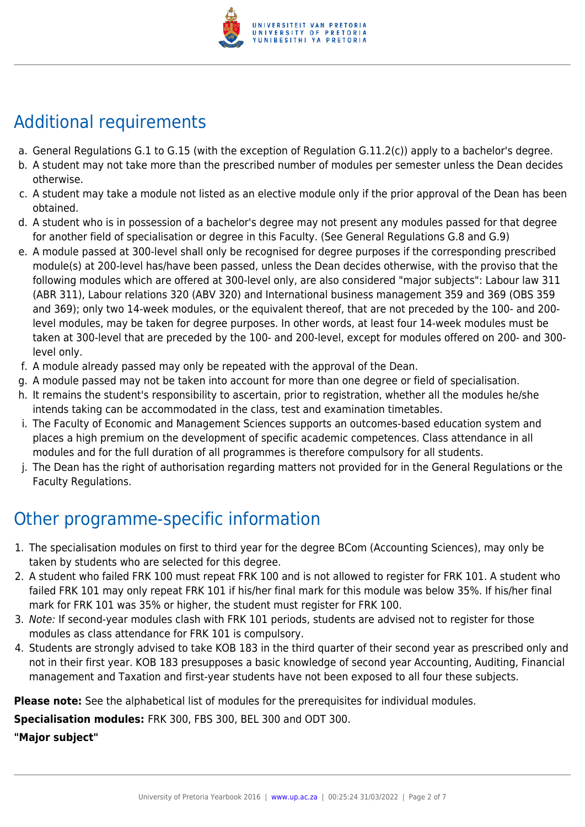

# Additional requirements

- a. General Regulations G.1 to G.15 (with the exception of Regulation G.11.2(c)) apply to a bachelor's degree.
- b. A student may not take more than the prescribed number of modules per semester unless the Dean decides otherwise.
- c. A student may take a module not listed as an elective module only if the prior approval of the Dean has been obtained.
- d. A student who is in possession of a bachelor's degree may not present any modules passed for that degree for another field of specialisation or degree in this Faculty. (See General Regulations G.8 and G.9)
- e. A module passed at 300-level shall only be recognised for degree purposes if the corresponding prescribed module(s) at 200-level has/have been passed, unless the Dean decides otherwise, with the proviso that the following modules which are offered at 300-level only, are also considered "major subjects": Labour law 311 (ABR 311), Labour relations 320 (ABV 320) and International business management 359 and 369 (OBS 359 and 369); only two 14-week modules, or the equivalent thereof, that are not preceded by the 100- and 200 level modules, may be taken for degree purposes. In other words, at least four 14-week modules must be taken at 300-level that are preceded by the 100- and 200-level, except for modules offered on 200- and 300 level only.
- f. A module already passed may only be repeated with the approval of the Dean.
- g. A module passed may not be taken into account for more than one degree or field of specialisation.
- h. It remains the student's responsibility to ascertain, prior to registration, whether all the modules he/she intends taking can be accommodated in the class, test and examination timetables.
- i. The Faculty of Economic and Management Sciences supports an outcomes-based education system and places a high premium on the development of specific academic competences. Class attendance in all modules and for the full duration of all programmes is therefore compulsory for all students.
- j. The Dean has the right of authorisation regarding matters not provided for in the General Regulations or the Faculty Regulations.

# Other programme-specific information

- 1. The specialisation modules on first to third year for the degree BCom (Accounting Sciences), may only be taken by students who are selected for this degree.
- 2. A student who failed FRK 100 must repeat FRK 100 and is not allowed to register for FRK 101. A student who failed FRK 101 may only repeat FRK 101 if his/her final mark for this module was below 35%. If his/her final mark for FRK 101 was 35% or higher, the student must register for FRK 100.
- 3. Note: If second-year modules clash with FRK 101 periods, students are advised not to register for those modules as class attendance for FRK 101 is compulsory.
- 4. Students are strongly advised to take KOB 183 in the third quarter of their second year as prescribed only and not in their first year. KOB 183 presupposes a basic knowledge of second year Accounting, Auditing, Financial management and Taxation and first-year students have not been exposed to all four these subjects.

**Please note:** See the alphabetical list of modules for the prerequisites for individual modules.

**Specialisation modules:** FRK 300, FBS 300, BEL 300 and ODT 300.

**"Major subject"**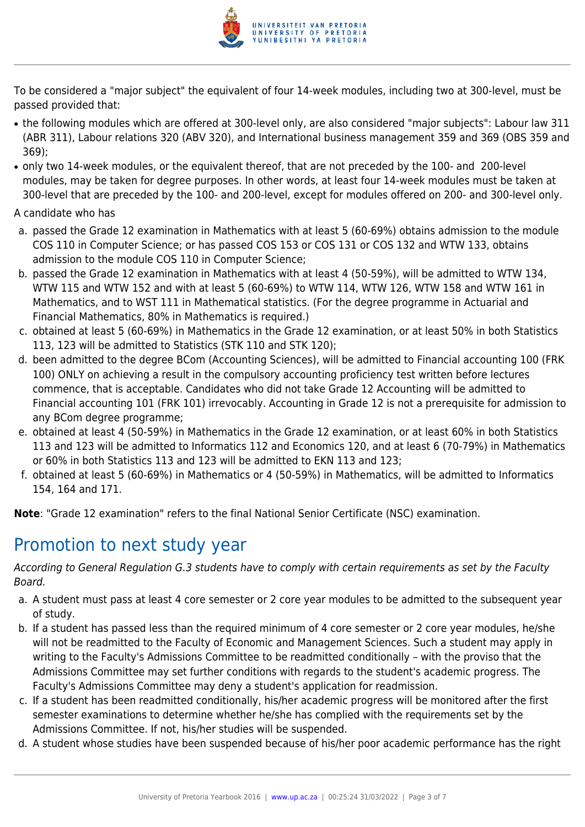

To be considered a "major subject" the equivalent of four 14-week modules, including two at 300-level, must be passed provided that:

- the following modules which are offered at 300-level only, are also considered "major subjects": Labour law 311 (ABR 311), Labour relations 320 (ABV 320), and International business management 359 and 369 (OBS 359 and 369);
- only two 14-week modules, or the equivalent thereof, that are not preceded by the 100- and 200-level modules, may be taken for degree purposes. In other words, at least four 14-week modules must be taken at 300-level that are preceded by the 100- and 200-level, except for modules offered on 200- and 300-level only.

A candidate who has

- a. passed the Grade 12 examination in Mathematics with at least 5 (60-69%) obtains admission to the module COS 110 in Computer Science; or has passed COS 153 or COS 131 or COS 132 and WTW 133, obtains admission to the module COS 110 in Computer Science;
- b. passed the Grade 12 examination in Mathematics with at least 4 (50-59%), will be admitted to WTW 134, WTW 115 and WTW 152 and with at least 5 (60-69%) to WTW 114, WTW 126, WTW 158 and WTW 161 in Mathematics, and to WST 111 in Mathematical statistics. (For the degree programme in Actuarial and Financial Mathematics, 80% in Mathematics is required.)
- c. obtained at least 5 (60-69%) in Mathematics in the Grade 12 examination, or at least 50% in both Statistics 113, 123 will be admitted to Statistics (STK 110 and STK 120);
- d. been admitted to the degree BCom (Accounting Sciences), will be admitted to Financial accounting 100 (FRK 100) ONLY on achieving a result in the compulsory accounting proficiency test written before lectures commence, that is acceptable. Candidates who did not take Grade 12 Accounting will be admitted to Financial accounting 101 (FRK 101) irrevocably. Accounting in Grade 12 is not a prerequisite for admission to any BCom degree programme;
- e. obtained at least 4 (50-59%) in Mathematics in the Grade 12 examination, or at least 60% in both Statistics 113 and 123 will be admitted to Informatics 112 and Economics 120, and at least 6 (70-79%) in Mathematics or 60% in both Statistics 113 and 123 will be admitted to EKN 113 and 123;
- f. obtained at least 5 (60-69%) in Mathematics or 4 (50-59%) in Mathematics, will be admitted to Informatics 154, 164 and 171.

**Note**: "Grade 12 examination" refers to the final National Senior Certificate (NSC) examination.

### Promotion to next study year

According to General Regulation G.3 students have to comply with certain requirements as set by the Faculty Board.

- a. A student must pass at least 4 core semester or 2 core year modules to be admitted to the subsequent year of study.
- b. If a student has passed less than the required minimum of 4 core semester or 2 core year modules, he/she will not be readmitted to the Faculty of Economic and Management Sciences. Such a student may apply in writing to the Faculty's Admissions Committee to be readmitted conditionally – with the proviso that the Admissions Committee may set further conditions with regards to the student's academic progress. The Faculty's Admissions Committee may deny a student's application for readmission.
- c. If a student has been readmitted conditionally, his/her academic progress will be monitored after the first semester examinations to determine whether he/she has complied with the requirements set by the Admissions Committee. If not, his/her studies will be suspended.
- d. A student whose studies have been suspended because of his/her poor academic performance has the right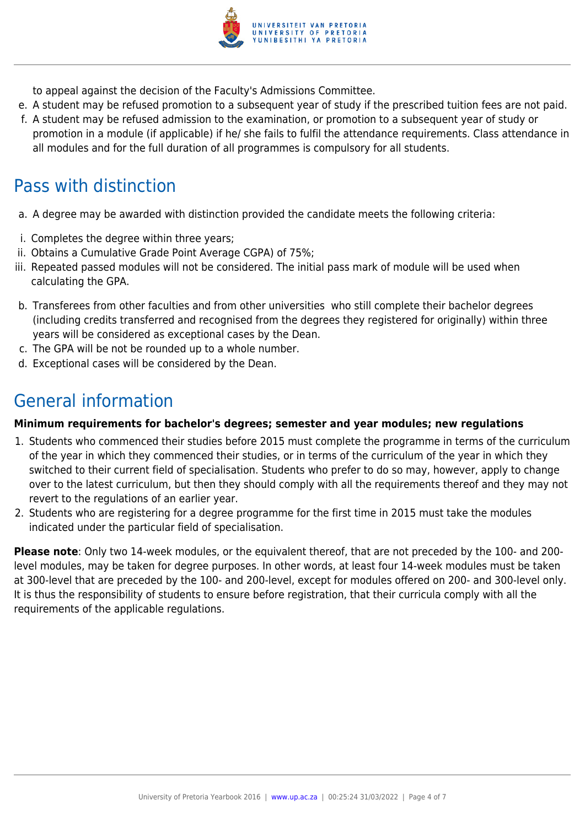

to appeal against the decision of the Faculty's Admissions Committee.

- e. A student may be refused promotion to a subsequent year of study if the prescribed tuition fees are not paid.
- f. A student may be refused admission to the examination, or promotion to a subsequent year of study or promotion in a module (if applicable) if he/ she fails to fulfil the attendance requirements. Class attendance in all modules and for the full duration of all programmes is compulsory for all students.

## Pass with distinction

- a. A degree may be awarded with distinction provided the candidate meets the following criteria:
- i. Completes the degree within three years;
- ii. Obtains a Cumulative Grade Point Average CGPA) of 75%;
- iii. Repeated passed modules will not be considered. The initial pass mark of module will be used when calculating the GPA.
- b. Transferees from other faculties and from other universities who still complete their bachelor degrees (including credits transferred and recognised from the degrees they registered for originally) within three years will be considered as exceptional cases by the Dean.
- c. The GPA will be not be rounded up to a whole number.
- d. Exceptional cases will be considered by the Dean.

## General information

#### **Minimum requirements for bachelor's degrees; semester and year modules; new regulations**

- 1. Students who commenced their studies before 2015 must complete the programme in terms of the curriculum of the year in which they commenced their studies, or in terms of the curriculum of the year in which they switched to their current field of specialisation. Students who prefer to do so may, however, apply to change over to the latest curriculum, but then they should comply with all the requirements thereof and they may not revert to the regulations of an earlier year.
- 2. Students who are registering for a degree programme for the first time in 2015 must take the modules indicated under the particular field of specialisation.

**Please note**: Only two 14-week modules, or the equivalent thereof, that are not preceded by the 100- and 200 level modules, may be taken for degree purposes. In other words, at least four 14-week modules must be taken at 300-level that are preceded by the 100- and 200-level, except for modules offered on 200- and 300-level only. It is thus the responsibility of students to ensure before registration, that their curricula comply with all the requirements of the applicable regulations.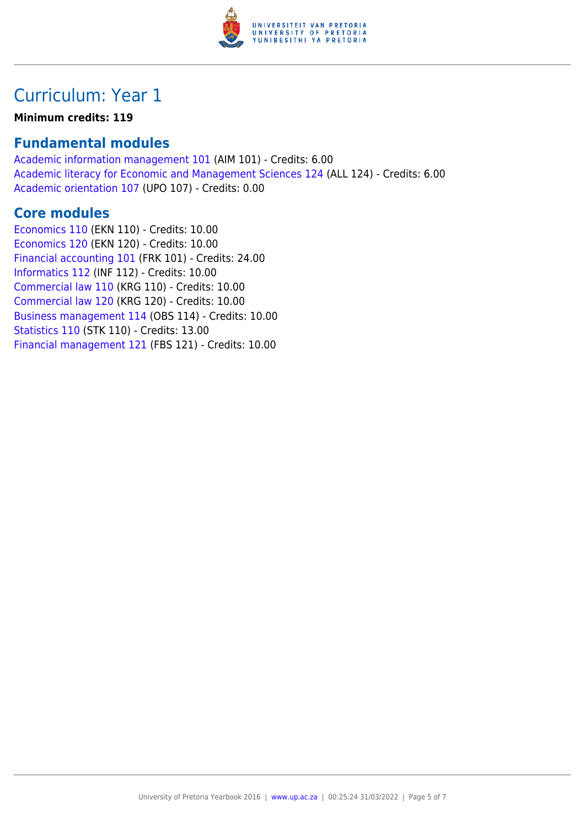

## Curriculum: Year 1

#### **Minimum credits: 119**

### **Fundamental modules**

[Academic information management 101](https://www.up.ac.za/yearbooks/2016/modules/view/AIM 101) (AIM 101) - Credits: 6.00 [Academic literacy for Economic and Management Sciences 124](https://www.up.ac.za/yearbooks/2016/modules/view/ALL 124) (ALL 124) - Credits: 6.00 [Academic orientation 107](https://www.up.ac.za/yearbooks/2016/modules/view/UPO 107) (UPO 107) - Credits: 0.00

### **Core modules**

[Economics 110](https://www.up.ac.za/yearbooks/2016/modules/view/EKN 110) (EKN 110) - Credits: 10.00 [Economics 120](https://www.up.ac.za/yearbooks/2016/modules/view/EKN 120) (EKN 120) - Credits: 10.00 [Financial accounting 101](https://www.up.ac.za/yearbooks/2016/modules/view/FRK 101) (FRK 101) - Credits: 24.00 [Informatics 112](https://www.up.ac.za/yearbooks/2016/modules/view/INF 112) (INF 112) - Credits: 10.00 [Commercial law 110](https://www.up.ac.za/yearbooks/2016/modules/view/KRG 110) (KRG 110) - Credits: 10.00 [Commercial law 120](https://www.up.ac.za/yearbooks/2016/modules/view/KRG 120) (KRG 120) - Credits: 10.00 [Business management 114](https://www.up.ac.za/yearbooks/2016/modules/view/OBS 114) (OBS 114) - Credits: 10.00 [Statistics 110](https://www.up.ac.za/yearbooks/2016/modules/view/STK 110) (STK 110) - Credits: 13.00 [Financial management 121](https://www.up.ac.za/yearbooks/2016/modules/view/FBS 121) (FBS 121) - Credits: 10.00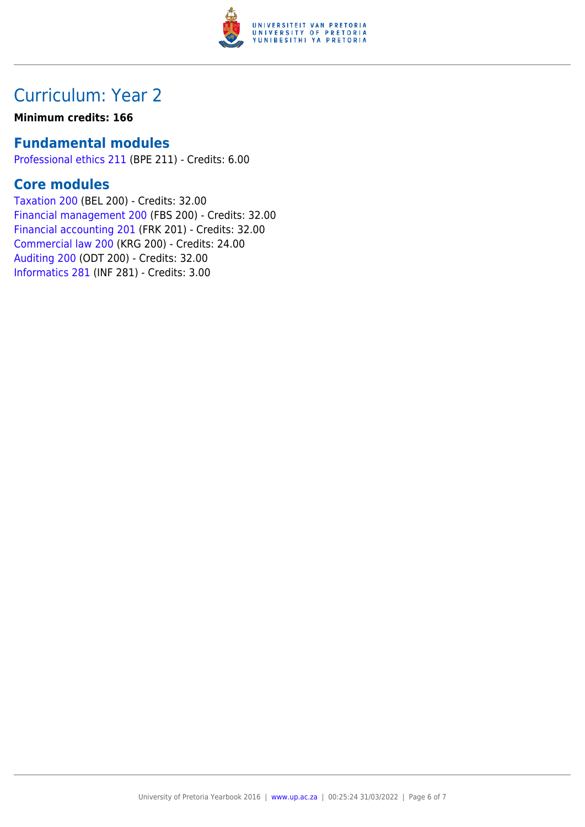

### Curriculum: Year 2

#### **Minimum credits: 166**

### **Fundamental modules**

[Professional ethics 211](https://www.up.ac.za/yearbooks/2016/modules/view/BPE 211) (BPE 211) - Credits: 6.00

### **Core modules**

[Taxation 200](https://www.up.ac.za/yearbooks/2016/modules/view/BEL 200) (BEL 200) - Credits: 32.00 [Financial management 200](https://www.up.ac.za/yearbooks/2016/modules/view/FBS 200) (FBS 200) - Credits: 32.00 [Financial accounting 201](https://www.up.ac.za/yearbooks/2016/modules/view/FRK 201) (FRK 201) - Credits: 32.00 [Commercial law 200](https://www.up.ac.za/yearbooks/2016/modules/view/KRG 200) (KRG 200) - Credits: 24.00 [Auditing 200](https://www.up.ac.za/yearbooks/2016/modules/view/ODT 200) (ODT 200) - Credits: 32.00 [Informatics 281](https://www.up.ac.za/yearbooks/2016/modules/view/INF 281) (INF 281) - Credits: 3.00